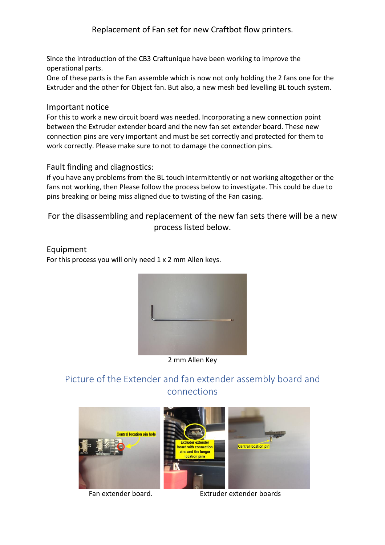### Replacement of Fan set for new Craftbot flow printers.

Since the introduction of the CB3 Craftunique have been working to improve the operational parts.

One of these parts is the Fan assemble which is now not only holding the 2 fans one for the Extruder and the other for Object fan. But also, a new mesh bed levelling BL touch system.

#### Important notice

For this to work a new circuit board was needed. Incorporating a new connection point between the Extruder extender board and the new fan set extender board. These new connection pins are very important and must be set correctly and protected for them to work correctly. Please make sure to not to damage the connection pins.

### Fault finding and diagnostics:

if you have any problems from the BL touch intermittently or not working altogether or the fans not working, then Please follow the process below to investigate. This could be due to pins breaking or being miss aligned due to twisting of the Fan casing.

For the disassembling and replacement of the new fan sets there will be a new process listed below.

# Equipment

For this process you will only need 1 x 2 mm Allen keys.



2 mm Allen Key

## Picture of the Extender and fan extender assembly board and connections



Fan extender board. Extruder extender boards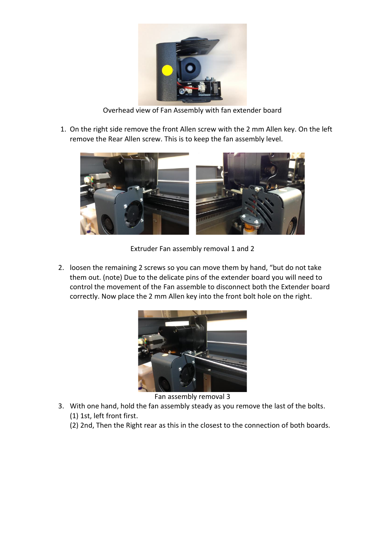

Overhead view of Fan Assembly with fan extender board

1. On the right side remove the front Allen screw with the 2 mm Allen key. On the left remove the Rear Allen screw. This is to keep the fan assembly level.



Extruder Fan assembly removal 1 and 2

2. loosen the remaining 2 screws so you can move them by hand, "but do not take them out. (note) Due to the delicate pins of the extender board you will need to control the movement of the Fan assemble to disconnect both the Extender board correctly. Now place the 2 mm Allen key into the front bolt hole on the right.



Fan assembly removal 3

- 3. With one hand, hold the fan assembly steady as you remove the last of the bolts. (1) 1st, left front first.
	- (2) 2nd, Then the Right rear as this in the closest to the connection of both boards.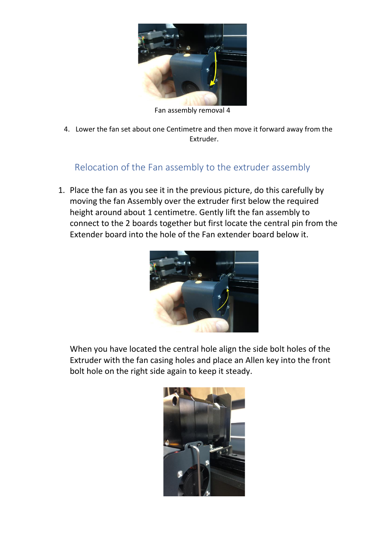

Fan assembly removal 4

4. Lower the fan set about one Centimetre and then move it forward away from the Extruder.

### Relocation of the Fan assembly to the extruder assembly

1. Place the fan as you see it in the previous picture, do this carefully by moving the fan Assembly over the extruder first below the required height around about 1 centimetre. Gently lift the fan assembly to connect to the 2 boards together but first locate the central pin from the Extender board into the hole of the Fan extender board below it.



When you have located the central hole align the side bolt holes of the Extruder with the fan casing holes and place an Allen key into the front bolt hole on the right side again to keep it steady.